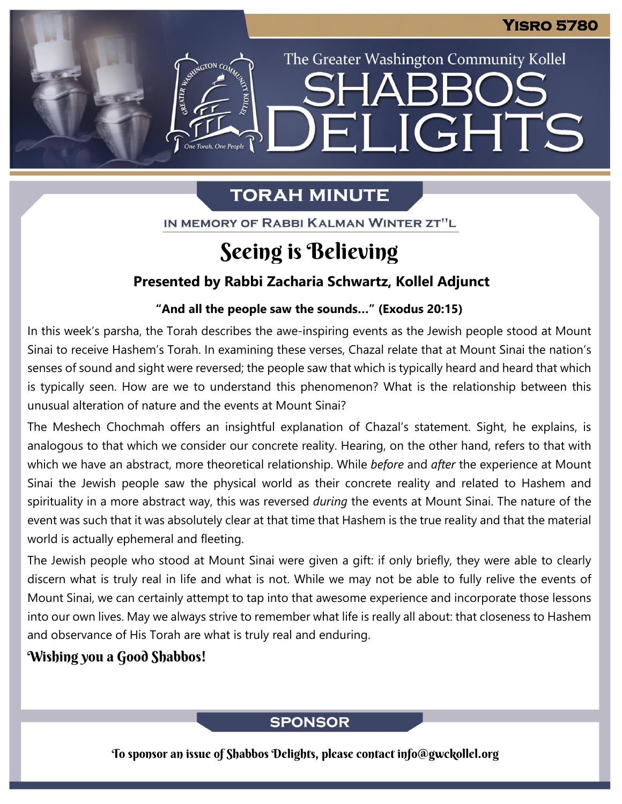The Greater Washington Community Kollel

ELIGHTS

# **TORAH MINUTE**

IN MEMORY OF RABBI KALMAN WINTER ZT"L

# Seeing is Believing

## **Presented by Rabbi Zacharia Schwartz, Kollel Adjunct**

#### **"And all the people saw the sounds…" (Exodus 20:15) From our archives**

In this week's parsha, the Torah describes the awe-inspiring events as the Jewish people stood at Mount Sinai to receive Hashem's Torah. In examining these verses, Chazal relate that at Mount Sinai the nation's senses of sound and sight were reversed; the people saw that which is typically heard and heard that which is typically seen. How are we to understand this phenomenon? What is the relationship between this unusual alteration of nature and the events at Mount Sinai?

The Meshech Chochmah offers an insightful explanation of Chazal's statement. Sight, he explains, is analogous to that which we consider our concrete reality. Hearing, on the other hand, refers to that with which we have an abstract, more theoretical relationship. While *before* and *after* the experience at Mount Sinai the Jewish people saw the physical world as their concrete reality and related to Hashem and spirituality in a more abstract way, this was reversed *during* the events at Mount Sinai. The nature of the event was such that it was absolutely clear at that time that Hashem is the true reality and that the material world is actually ephemeral and fleeting.

The Jewish people who stood at Mount Sinai were given a gift: if only briefly, they were able to clearly discern what is truly real in life and what is not. While we may not be able to fully relive the events of Mount Sinai, we can certainly attempt to tap into that awesome experience and incorporate those lessons into our own lives. May we always strive to remember what life is really all about: that closeness to Hashem and observance of His Torah are what is truly real and enduring.

## Wishing you a Good Shabbos!

## **SPONSOR**

To sponsor an issue of Shabbos Delights, please contact info@gwckollel.org